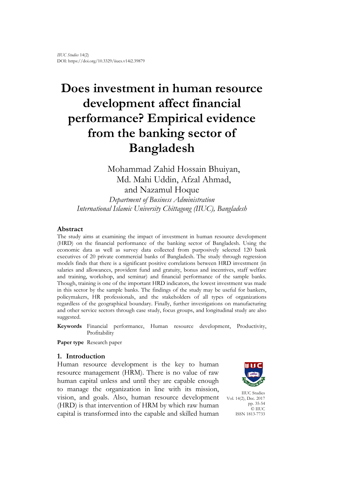# **Does investment in human resource development affect financial performance? Empirical evidence from the banking sector of Bangladesh**

Mohammad Zahid Hossain Bhuiyan, Md. Mahi Uddin, Afzal Ahmad, and Nazamul Hoque

*Department of Business Administration International Islamic University Chittagong (IIUC), Bangladesh*

## **Abstract**

The study aims at examining the impact of investment in human resource development (HRD) on the financial performance of the banking sector of Bangladesh. Using the economic data as well as survey data collected from purposively selected 120 bank executives of 20 private commercial banks of Bangladesh. The study through regression models finds that there is a significant positive correlations between HRD investment (in salaries and allowances, provident fund and gratuity, bonus and incentives, staff welfare and training, workshop, and seminar) and financial performance of the sample banks. Though, training is one of the important HRD indicators, the lowest investment was made in this sector by the sample banks. The findings of the study may be useful for bankers, policymakers, HR professionals, and the stakeholders of all types of organizations regardless of the geographical boundary. Finally, further investigations on manufacturing and other service sectors through case study, focus groups, and longitudinal study are also suggested.

**Keywords** Financial performance, Human resource development, Productivity, Profitability

**Paper type** Research paper

## **1. Introduction**

Human resource development is the key to human resource management (HRM). There is no value of raw human capital unless and until they are capable enough to manage the organization in line with its mission, vision, and goals. Also, human resource development (HRD) is that intervention of HRM by which raw human capital is transformed into the capable and skilled human



IIUC Studies Vol. 14(2), Dec. 2017 pp. 35-54 © IIUC ISSN 1813-7733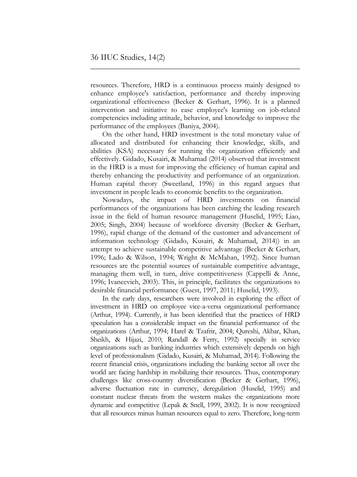resources. Therefore, HRD is a continuous process mainly designed to enhance employee's satisfaction, performance and thereby improving organizational effectiveness (Becker & Gerhart, 1996). It is a planned intervention and initiative to ease employee's learning on job-related competencies including attitude, behavior, and knowledge to improve the performance of the employees (Baniya, 2004).

On the other hand, HRD investment is the total monetary value of allocated and distributed for enhancing their knowledge, skills, and abilities (KSA) necessary for running the organization efficiently and effectively. Gidado, Kusairi, & Muhamad (2014) observed that investment in the HRD is a must for improving the efficiency of human capital and thereby enhancing the productivity and performance of an organization. Human capital theory (Sweetland, 1996) in this regard argues that investment in people leads to economic benefits to the organization.

Nowadays, the impact of HRD investments on financial performances of the organizations has been catching the leading research issue in the field of human resource management (Huselid, 1995; Liao, 2005; Singh, 2004) because of workforce diversity (Becker & Gerhart, 1996), rapid change of the demand of the customer and advancement of information technology (Gidado, Kusairi, & Muhamad, 2014)) in an attempt to achieve sustainable competitive advantage (Becker & Gerhart, 1996; Lado & Wilson, 1994; Wright & McMahan, 1992). Since human resources are the potential sources of sustainable competitive advantage, managing them well, in turn, drive competitiveness (Cappelli & Anne, 1996; Ivancevich, 2003). This, in principle, facilitates the organizations to desirable financial performance (Guest, 1997, 2011; Huselid, 1993).

In the early days, researchers were involved in exploring the effect of investment in HRD on employee vice-a-versa organizational performance (Arthur, 1994). Currently, it has been identified that the practices of HRD speculation has a considerable impact on the financial performance of the organizations (Arthur, 1994; Harel & Tzafrir, 2004; Qureshi, Akbar, Khan, Sheikh, & Hijazi, 2010; Randall & Ferry, 1992) specially in service organizations such as banking industries which extensively depends on high level of professionalism (Gidado, Kusairi, & Muhamad, 2014). Following the recent financial crisis, organizations including the banking sector all over the world are facing hardship in mobilizing their resources. Thus, contemporary challenges like cross-country diversification (Becker & Gerhart, 1996), adverse fluctuation rate in currency, deregulation (Huselid, 1995) and constant nuclear threats from the western makes the organizations more dynamic and competitive (Lepak & Snell, 1999, 2002). It is now recognized that all resources minus human resources equal to zero. Therefore, long-term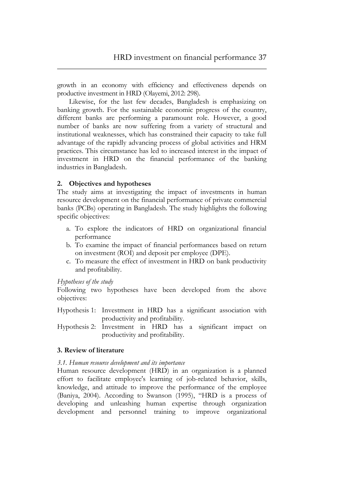growth in an economy with efficiency and effectiveness depends on productive investment in HRD (Olayemi, 2012: 298).

Likewise, for the last few decades, Bangladesh is emphasizing on banking growth. For the sustainable economic progress of the country, different banks are performing a paramount role. However, a good number of banks are now suffering from a variety of structural and institutional weaknesses, which has constrained their capacity to take full advantage of the rapidly advancing process of global activities and HRM practices. This circumstance has led to increased interest in the impact of investment in HRD on the financial performance of the banking industries in Bangladesh.

## **2. Objectives and hypotheses**

The study aims at investigating the impact of investments in human resource development on the financial performance of private commercial banks (PCBs) operating in Bangladesh. The study highlights the following specific objectives:

- a. To explore the indicators of HRD on organizational financial performance
- b. To examine the impact of financial performances based on return on investment (ROI) and deposit per employee (DPE).
- c. To measure the effect of investment in HRD on bank productivity and profitability.

## *Hypotheses of the study*

Following two hypotheses have been developed from the above objectives:

- Hypothesis 1: Investment in HRD has a significant association with productivity and profitability.
- Hypothesis 2: Investment in HRD has a significant impact on productivity and profitability.

## **3. Review of literature**

## *3.1. Human resource development and its importance*

Human resource development (HRD) in an organization is a planned effort to facilitate employee's learning of job-related behavior, skills, knowledge, and attitude to improve the performance of the employee (Baniya, 2004). According to Swanson (1995), "HRD is a process of developing and unleashing human expertise through organization development and personnel training to improve organizational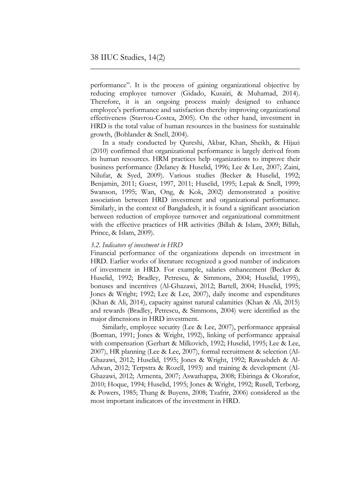performance". It is the process of gaining organizational objective by reducing employee turnover (Gidado, Kusairi, & Muhamad, 2014). Therefore, it is an ongoing process mainly designed to enhance employee's performance and satisfaction thereby improving organizational effectiveness (Stavrou-Costea, 2005). On the other hand, investment in HRD is the total value of human resources in the business for sustainable growth, (Bohlander & Snell, 2004).

In a study conducted by Qureshi, Akbar, Khan, Sheikh, & Hijazi (2010) confirmed that organizational performance is largely derived from its human resources. HRM practices help organizations to improve their business performance (Delaney & Huselid, 1996; Lee & Lee, 2007; Zaini, Nilufar, & Syed, 2009). Various studies (Becker & Huselid, 1992; Benjamin, 2011; Guest, 1997, 2011; Huselid, 1995; Lepak & Snell, 1999; Swanson, 1995; Wan, Ong, & Kok, 2002) demonstrated a positive association between HRD investment and organizational performance. Similarly, in the context of Bangladesh, it is found a significant association between reduction of employee turnover and organizational commitment with the effective practices of HR activities (Billah & Islam, 2009; Billah, Prince, & Islam, 2009).

#### *3.2. Indicators of investment in HRD*

Financial performance of the organizations depends on investment in HRD. Earlier works of literature recognized a good number of indicators of investment in HRD. For example, salaries enhancement (Becker & Huselid, 1992; Bradley, Petrescu, & Simmons, 2004; Huselid, 1995), bonuses and incentives (Al-Ghazawi, 2012; Bartell, 2004; Huselid, 1995; Jones & Wright; 1992; Lee & Lee, 2007), daily income and expenditures (Khan & Ali, 2014), capacity against natural calamities (Khan & Ali, 2015) and rewards (Bradley, Petrescu, & Simmons, 2004) were identified as the major dimensions in HRD investment.

Similarly, employee security (Lee & Lee, 2007), performance appraisal (Borman, 1991; Jones & Wright, 1992), linking of performance appraisal with compensation (Gerhart & Milkovich, 1992; Huselid, 1995; Lee & Lee, 2007), HR planning (Lee & Lee, 2007), formal recruitment & selection (Al-Ghazawi, 2012; Huselid, 1995; Jones & Wright, 1992; Rawashdeh & Al-Adwan, 2012; Terpstra & Rozell, 1993) and training & development (Al-Ghazawi, 2012; Armenta, 2007; Aswathappa, 2008; Ebiringa & Okorafor, 2010; Hoque, 1994; Huselid, 1995; Jones & Wright, 1992; Rusell, Terborg, & Powers, 1985; Thang & Buyens, 2008; Tzafrir, 2006) considered as the most important indicators of the investment in HRD.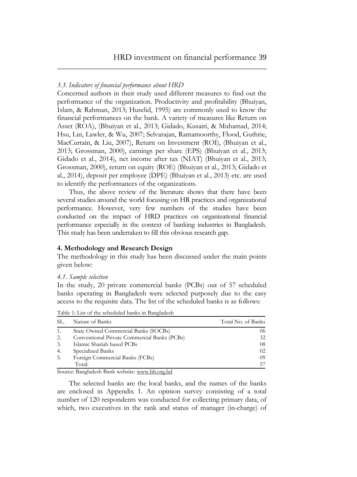#### *3.3. Indicators of financial performance about HRD*

Concerned authors in their study used different measures to find out the performance of the organization. Productivity and profitability (Bhuiyan, Islam, & Rahman, 2013; Huselid, 1995) are commonly used to know the financial performances on the bank. A variety of measures like Return on Asset (ROA), (Bhuiyan et al., 2013; Gidado, Kusairi, & Muhamad, 2014; Hsu, Lin, Lawler, & Wu, 2007; Selvarajan, Ramamoorthy, Flood, Guthrie, MacCurtain, & Liu, 2007), Return on Investment (ROI), (Bhuiyan et al., 2013; Grossman, 2000), earnings per share (EPS) (Bhuiyan et al., 2013; Gidado et al., 2014), net income after tax (NIAT) (Bhuiyan et al., 2013; Grossman, 2000), return on equity (ROE) (Bhuiyan et al., 2013; Gidado et al., 2014), deposit per employee (DPE) (Bhuiyan et al., 2013) etc. are used to identify the performances of the organizations.

Thus, the above review of the literature shows that there have been several studies around the world focusing on HR practices and organizational performance. However, very few numbers of the studies have been conducted on the impact of HRD practices on organizational financial performance especially in the context of banking industries in Bangladesh. This study has been undertaken to fill this obvious research gap.

#### **4. Methodology and Research Design**

The methodology in this study has been discussed under the main points given below:

#### *4.1. Sample selection*

In the study, 20 private commercial banks (PCBs) out of 57 scheduled banks operating in Bangladesh were selected purposely due to the easy access to the requisite data. The list of the scheduled banks is as follows:

| SL. | Nature of Banks                              | Total No. of Banks |
|-----|----------------------------------------------|--------------------|
|     | State Owned Commercial Banks (SOCBs)         | 06                 |
| 2.  | Conventional Private Commercial Banks (PCBs) | 32                 |
| 3.  | Islamic Shariah based PCBs                   | 08                 |
| 4.  | Specialized Banks                            | 02                 |
| -5. | Foreign Commercial Banks (FCBs)              | 09                 |
|     | Total:                                       | 5.                 |

Table 1: List of the scheduled banks in Bangladesh

Source: Bangladesh Bank website: [www.bb.org.bd](http://www.bb.org.bd/)

The selected banks are the local banks, and the names of the banks are enclosed in Appendix 1. An opinion survey consisting of a total number of 120 respondents was conducted for collecting primary data, of which, two executives in the rank and status of manager (in-charge) of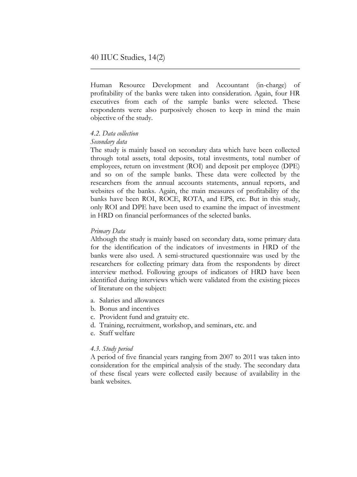Human Resource Development and Accountant (in-charge) of profitability of the banks were taken into consideration. Again, four HR executives from each of the sample banks were selected. These respondents were also purposively chosen to keep in mind the main objective of the study.

## *4.2. Data collection*

## *Secondary data*

The study is mainly based on secondary data which have been collected through total assets, total deposits, total investments, total number of employees, return on investment (ROI) and deposit per employee (DPE) and so on of the sample banks. These data were collected by the researchers from the annual accounts statements, annual reports, and websites of the banks. Again, the main measures of profitability of the banks have been ROI, ROCE, ROTA, and EPS, etc. But in this study, only ROI and DPE have been used to examine the impact of investment in HRD on financial performances of the selected banks.

## *Primary Data*

Although the study is mainly based on secondary data, some primary data for the identification of the indicators of investments in HRD of the banks were also used. A semi-structured questionnaire was used by the researchers for collecting primary data from the respondents by direct interview method. Following groups of indicators of HRD have been identified during interviews which were validated from the existing pieces of literature on the subject:

- a. Salaries and allowances
- b. Bonus and incentives
- c. Provident fund and gratuity etc.
- d. Training, recruitment, workshop, and seminars, etc. and
- e. Staff welfare

## *4.3. Study period*

A period of five financial years ranging from 2007 to 2011 was taken into consideration for the empirical analysis of the study. The secondary data of these fiscal years were collected easily because of availability in the bank websites.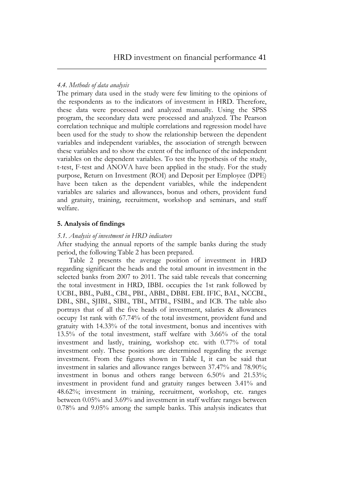## *4.4. Methods of data analysis*

The primary data used in the study were few limiting to the opinions of the respondents as to the indicators of investment in HRD. Therefore, these data were processed and analyzed manually. Using the SPSS program, the secondary data were processed and analyzed. The Pearson correlation technique and multiple correlations and regression model have been used for the study to show the relationship between the dependent variables and independent variables, the association of strength between these variables and to show the extent of the influence of the independent variables on the dependent variables. To test the hypothesis of the study, t-test, F-test and ANOVA have been applied in the study. For the study purpose, Return on Investment (ROI) and Deposit per Employee (DPE) have been taken as the dependent variables, while the independent variables are salaries and allowances, bonus and others, provident fund and gratuity, training, recruitment, workshop and seminars, and staff welfare.

## **5. Analysis of findings**

## *5.1. Analysis of investment in HRD indicators*

After studying the annual reports of the sample banks during the study period, the following Table 2 has been prepared.

Table 2 presents the average position of investment in HRD regarding significant the heads and the total amount in investment in the selected banks from 2007 to 2011. The said table reveals that concerning the total investment in HRD, IBBL occupies the 1st rank followed by UCBL, BBL, PuBL, CBL, PBL, ABBL, DBBL EBL IFIC, BAL, NCCBL, DBL, SBL, SJIBL, SIBL, TBL, MTBL, FSIBL, and ICB. The table also portrays that of all the five heads of investment, salaries & allowances occupy 1st rank with 67.74% of the total investment, provident fund and gratuity with 14.33% of the total investment, bonus and incentives with 13.5% of the total investment, staff welfare with 3.66% of the total investment and lastly, training, workshop etc. with 0.77% of total investment only. These positions are determined regarding the average investment. From the figures shown in Table I, it can be said that investment in salaries and allowance ranges between 37.47% and 78.90%; investment in bonus and others range between 6.50% and 21.53%; investment in provident fund and gratuity ranges between 3.41% and 48.62%; investment in training, recruitment, workshop, etc. ranges between 0.05% and 3.69% and investment in staff welfare ranges between 0.78% and 9.05% among the sample banks. This analysis indicates that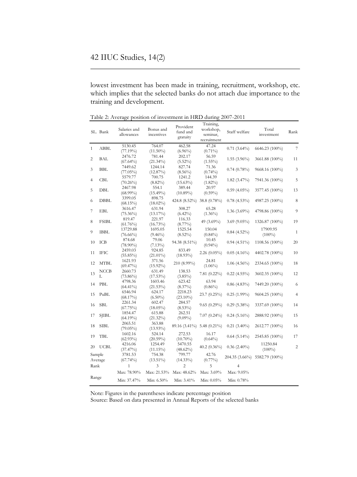lowest investment has been made in training, recruitment, workshop, etc. which implies that the selected banks do not attach due importance to the training and development.

Table 2: Average position of investment in HRD during 2007-2011

|                | SL. Bank     | Salaries and<br>allowances | Bonus and<br>incentives | Provident<br>fund and<br>gratuity | Training,<br>workshop,<br>seminar,<br>recruitment | Staff welfare  | Total<br>investment   | Rank           |
|----------------|--------------|----------------------------|-------------------------|-----------------------------------|---------------------------------------------------|----------------|-----------------------|----------------|
| $\mathbf{1}$   | <b>ABBL</b>  | 5130.45<br>(77.19%)        | 764.07<br>$(11.50\%)$   | 462.58<br>$(6.96\%)$              | 47.24<br>$(0.71\%)$                               | $0.71(3.64\%)$ | 6646.23 (100%)        | $\overline{7}$ |
| $\overline{c}$ | BAL          | 2476.72<br>$(67.64\%)$     | 781.44<br>$(21.34\%)$   | 202.17<br>$(5.52\%)$              | 56.59<br>$(1.55\%)$                               | $1.55(3.96\%)$ | 3661.88 (100%)        | 11             |
| 3              | <b>BBL</b>   | 7449.62<br>$(77.05\%)$     | 1244.14<br>$(12.87\%)$  | 827.74<br>$(8.56\%)$              | 71.36<br>$(0.74\%)$                               | $0.74(0.78\%)$ | 9668.16 (100%)        | 3              |
| 4              | CBL          | 5579.77<br>$(70.26\%)$     | 700.75<br>$(8.82\%)$    | 1241.2<br>$(15.63\%)$             | 144.39<br>$(1.82\%)$                              | $1.82(3.47\%)$ | 7941.36 (100%)        | 5              |
| 5              | DBL          | 2467.98<br>$(68.99\%)$     | 554.1<br>$(15.49\%)$    | 389.44<br>$(10.89\%)$             | 20.97<br>$(0.59\%)$                               | $0.59(4.05\%)$ | 3577.45 (100%)        | 13             |
| 6              | <b>DBBL</b>  | 3399.05<br>$(68.15\%)$     | 898.75<br>$(18.02\%)$   | 424.8 (8.52%)                     | 38.8 (0.78%)                                      | $0.78(4.53\%)$ | 4987.25 (100%)        | 8              |
| 7              | EBL          | 3616.47<br>$(75.36\%)$     | 631.94<br>$(13.17\%)$   | 308.27<br>$(6.42\%)$              | 65.28<br>$(1.36\%)$                               | 1.36 (3.69%)   | 4798.86 (100%)        | 9              |
| 8              | <b>FSIBL</b> | 819.47<br>$(61.76\%)$      | 221.97<br>$(16.73\%)$   | 116.33<br>$(8.77\%)$              | 49 (3.69%)                                        | $3.69(9.05\%)$ | 1326.87 (100%)        | 19             |
| 9              | <b>IBBL</b>  | 13729.88<br>$(76.66\%)$    | 1695.05<br>$(9.46\%)$   | 1525.54<br>$(8.52\%)$             | 150.04<br>$(0.84\%)$                              | $0.84(4.52\%)$ | 17909.95<br>$(100\%)$ | $\mathbf{1}$   |
| 10             | ICB          | 874.68<br>$(78.90\%)$      | 79.06<br>$(7.13\%)$     | 94.38 (8.51%)                     | 10.45<br>$(0.94\%)$                               | $0.94(4.51\%)$ | 1108.56 (100%)        | 20             |
| 11             | IFIC         | 2459.03<br>$(55.85\%)$     | 924.85<br>$(21.01\%)$   | 833.49<br>$(18.93\%)$             | $2.26(0.05\%)$                                    | $0.05(4.16\%)$ | 4402.78 (100%)        | 10             |
| 12             | MTBL         | 1621.93<br>$(69.47\%)$     | 371.56<br>$(15.92\%)$   | 210 (8.99%)                       | 24.81<br>$(1.06\%)$                               | $1.06(4.56\%)$ | 2334.65 (100%)        | 18             |
| 13             | NCCB<br>L    | 2660.73<br>$(73.86\%)$     | 631.49<br>$(17.53\%)$   | 138.53<br>$(3.85\%)$              | $7.81(0.22\%)$                                    | $0.22(4.55\%)$ | 3602.35 (100%)        | 12             |
| 14             | <b>PBL</b>   | 4798.36<br>$(64.41\%)$     | 1603.46<br>$(21.53\%)$  | 623.42<br>$(8.37\%)$              | 63.94<br>$(0.86\%)$                               | $0.86$ (4.83%) | 7449.20 (100%)        | 6              |
| 15             | PuBL         | 6546.94<br>(68.17%)        | 624.17<br>$(6.50\%)$    | 2218.23<br>$(23.10\%)$            | 23.7 (0.25%)                                      | $0.25(1.99\%)$ | 9604.25 (100%)        | $\overline{4}$ |
| 16             | <b>SBL</b>   | 2261.34<br>(67.75%)        | 602.47<br>$(18.05\%)$   | 284.57<br>$(8.53\%)$              | $9.65(0.29\%)$                                    | $0.29(5.38\%)$ | 3337.69 (100%)        | 14             |
| 17             | <b>SJIBL</b> | 1854.47<br>$(64.19\%)$     | 615.88<br>$(21.32\%)$   | 262.51<br>$(9.09\%)$              | $7.07(0.24\%)$                                    | $0.24(5.16\%)$ | 2888.92 (100%)        | 15             |
| 18             | SIBL         | 2065.51<br>$(79.05\%)$     | 363.88<br>$(13.93\%)$   | 89.16 (3.41%)                     | 5.48 $(0.21\%)$                                   | $0.21(3.40\%)$ | 2612.77 (100%)        | 16             |
| 19             | <b>TBL</b>   | 1602.16<br>$(62.93\%)$     | 524.14<br>$(20.59\%)$   | 272.53<br>$(10.70\%)$             | 16.17<br>$(0.64\%)$                               | $0.64(5.14\%)$ | 2545.85 (100%)        | 17             |
| 20             | <b>UCBL</b>  | 4216.06<br>(37.47%)        | 1254.49<br>$(11.15\%)$  | 5470.55<br>$(48.62\%)$            | $40.2(0.36\%)$                                    | $0.36(2.40\%)$ | 11250.84<br>$(100\%)$ | $\overline{c}$ |
| Sample         | Average      | 3781.53<br>$(67.74\%)$     | 754.38<br>$(13.51\%)$   | 799.77<br>$(14.33\%)$             | 42.76<br>$(0.77\%)$                               | 204.35 (3.66%) | 5582.79 (100%)        |                |
| Rank           |              | 1                          | 3                       | $\overline{2}$                    | 5                                                 | 4              |                       |                |
|                |              | Max: 78.90%                | Max: 21.53%             | Max: 48.62%                       | Max: 3.69%                                        | Max: 9.05%     |                       |                |
| Range          |              | Min: 37.47%                | Min: 6.50%              | Min: 3.41%                        | Min: 0.05%                                        | Min: 0.78%     |                       |                |

Note: Figures in the parentheses indicate percentage position Source: Based on data presented in Annual Reports of the selected banks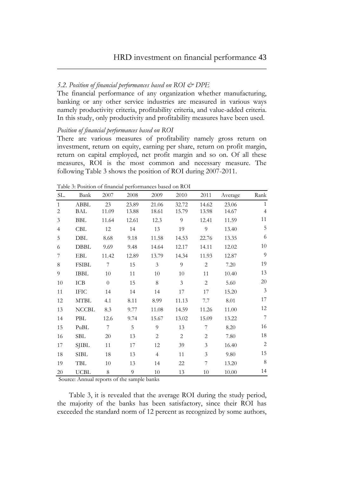## *5.2. Position of financial performances based on ROI & DPE*

The financial performance of any organization whether manufacturing, banking or any other service industries are measured in various ways namely productivity criteria, profitability criteria, and value-added criteria. In this study, only productivity and profitability measures have been used.

#### *Position of financial performances based on ROI*

There are various measures of profitability namely gross return on investment, return on equity, earning per share, return on profit margin, return on capital employed, net profit margin and so on. Of all these measures, ROI is the most common and necessary measure. The following Table 3 shows the position of ROI during 2007-2011.

| SL.                            | Bank         | 2007           | 2008           | 2009           | 2010           | 2011           | Average        | Rank                           |
|--------------------------------|--------------|----------------|----------------|----------------|----------------|----------------|----------------|--------------------------------|
| $\mathbf{1}$<br>$\overline{2}$ | ABBL<br>BAL  | 23<br>11.09    | 23.89<br>13.88 | 21.06<br>18.61 | 32.72<br>15.79 | 14.62<br>13.98 | 23.06<br>14.67 | $\mathbf{1}$<br>$\overline{4}$ |
| 3                              | BBL          | 11.64          | 12.61          | 12.3           | 9              | 12.41          | 11.59          | 11                             |
| $\overline{4}$                 | CBL          | 12             | 14             | 13             | 19             | 9              | 13.40          | $\mathbf 5$                    |
| 5                              | DBL          | 8.68           | 9.18           | 11.58          | 14.53          | 22.76          | 13.35          | 6                              |
| 6                              | DBBL         | 9.69           | 9.48           | 14.64          | 12.17          | 14.11          | 12.02          | 10                             |
| 7                              | EBL          | 11.42          | 12.89          | 13.79          | 14.34          | 11.93          | 12.87          | 9                              |
| 8                              | <b>FSIBL</b> | 7              | 15             | 3              | 9              | $\overline{2}$ | 7.20           | 19                             |
| 9                              | <b>IBBL</b>  | 10             | 11             | 10             | 10             | 11             | 10.40          | 13                             |
| 10                             | ICB          | $\overline{0}$ | 15             | 8              | 3              | 2              | 5.60           | 20                             |
| 11                             | IFIC         | 14             | 14             | 14             | 17             | 17             | 15.20          | 3                              |
| 12                             | <b>MTBL</b>  | 4.1            | 8.11           | 8.99           | 11.13          | 7.7            | 8.01           | 17                             |
| 13                             | <b>NCCBL</b> | 8.3            | 9.77           | 11.08          | 14.59          | 11.26          | 11.00          | 12                             |
| 14                             | PBL          | 12.6           | 9.74           | 15.67          | 13.02          | 15.09          | 13.22          | $\overline{7}$                 |
| 15                             | PuBL         | 7              | 5              | 9              | 13             | 7              | 8.20           | 16                             |
| 16                             | SBL          | 20             | 13             | $\overline{2}$ | $\overline{2}$ | $\overline{2}$ | 7.80           | 18                             |
| 17                             | SJIBL        | 11             | 17             | 12             | 39             | 3              | 16.40          | $\sqrt{2}$                     |
| 18                             | SIBL         | 18             | 13             | $\overline{4}$ | 11             | 3              | 9.80           | 15                             |
| 19                             | TBL          | 10             | 13             | 14             | 22             | 7              | 13.20          | $\,8\,$                        |
| 20                             | <b>UCBL</b>  | 8              | 9              | 10             | 13             | 10             | 10.00          | 14                             |

Table 3: Position of financial performances based on ROI

Source: Annual reports of the sample banks

Table 3, it is revealed that the average ROI during the study period, the majority of the banks has been satisfactory, since their ROI has exceeded the standard norm of 12 percent as recognized by some authors,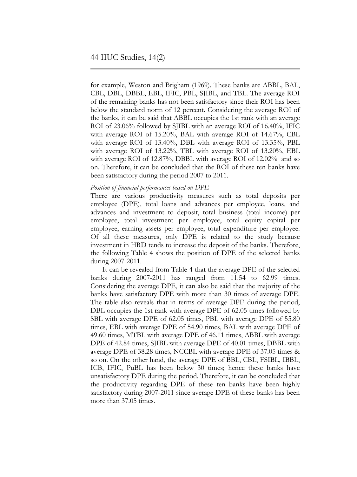for example, Weston and Brigham (1969). These banks are ABBL, BAL, CBL, DBL, DBBL, EBL, IFIC, PBL, SJIBL, and TBL. The average ROI of the remaining banks has not been satisfactory since their ROI has been below the standard norm of 12 percent. Considering the average ROI of the banks, it can be said that ABBL occupies the 1st rank with an average ROI of 23.06% followed by SJIBL with an average ROI of 16.40%, IFIC with average ROI of 15.20%, BAL with average ROI of 14.67%, CBL with average ROI of 13.40%, DBL with average ROI of 13.35%, PBL with average ROI of 13.22%, TBL with average ROI of 13.20%, EBL with average ROI of 12.87%, DBBL with average ROI of 12.02% and so on. Therefore, it can be concluded that the ROI of these ten banks have been satisfactory during the period 2007 to 2011.

#### *Position of financial performances based on DPE*

There are various productivity measures such as total deposits per employee (DPE), total loans and advances per employee, loans, and advances and investment to deposit, total business (total income) per employee, total investment per employee, total equity capital per employee, earning assets per employee, total expenditure per employee. Of all these measures, only DPE is related to the study because investment in HRD tends to increase the deposit of the banks. Therefore, the following Table 4 shows the position of DPE of the selected banks during 2007-2011.

It can be revealed from Table 4 that the average DPE of the selected banks during 2007-2011 has ranged from 11.54 to 62.99 times. Considering the average DPE, it can also be said that the majority of the banks have satisfactory DPE with more than 30 times of average DPE. The table also reveals that in terms of average DPE during the period, DBL occupies the 1st rank with average DPE of 62.05 times followed by SBL with average DPE of 62.05 times, PBL with average DPE of 55.80 times, EBL with average DPE of 54.90 times, BAL with average DPE of 49.60 times, MTBL with average DPE of 46.11 times, ABBL with average DPE of 42.84 times, SJIBL with average DPE of 40.01 times, DBBL with average DPE of 38.28 times, NCCBL with average DPE of 37.05 times & so on. On the other hand, the average DPE of BBL, CBL, FSIBL, IBBL, ICB, IFIC, PuBL has been below 30 times; hence these banks have unsatisfactory DPE during the period. Therefore, it can be concluded that the productivity regarding DPE of these ten banks have been highly satisfactory during 2007-2011 since average DPE of these banks has been more than 37.05 times.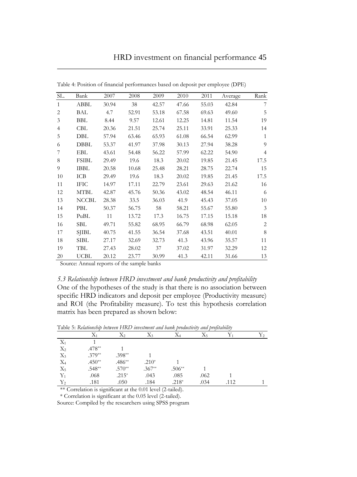| SL.            | Bank         | 2007  | 2008  | 2009  | 2010  | 2011  | Average | Rank           |
|----------------|--------------|-------|-------|-------|-------|-------|---------|----------------|
| $\mathbf{1}$   | ABBL         | 30.94 | 38    | 42.57 | 47.66 | 55.03 | 42.84   | 7              |
| 2              | BAL          | 4.7   | 52.91 | 53.18 | 67.58 | 69.63 | 49.60   | 5              |
| 3              | <b>BBL</b>   | 8.44  | 9.57  | 12.61 | 12.25 | 14.81 | 11.54   | 19             |
| $\overline{4}$ | <b>CBL</b>   | 20.36 | 21.51 | 25.74 | 25.11 | 33.91 | 25.33   | 14             |
| 5              | DBL          | 57.94 | 63.46 | 65.93 | 61.08 | 66.54 | 62.99   | $\mathbf{1}$   |
| 6              | DBBL         | 53.37 | 41.97 | 37.98 | 30.13 | 27.94 | 38.28   | 9              |
| 7              | EBL          | 43.61 | 54.48 | 56.22 | 57.99 | 62.22 | 54.90   | $\overline{4}$ |
| 8              | <b>FSIBL</b> | 29.49 | 19.6  | 18.3  | 20.02 | 19.85 | 21.45   | 17.5           |
| 9              | <b>IBBL</b>  | 20.58 | 10.68 | 25.48 | 28.21 | 28.75 | 22.74   | 15             |
| 10             | ICB          | 29.49 | 19.6  | 18.3  | 20.02 | 19.85 | 21.45   | 17.5           |
| 11             | <b>IFIC</b>  | 14.97 | 17.11 | 22.79 | 23.61 | 29.63 | 21.62   | 16             |
| 12             | <b>MTBL</b>  | 42.87 | 45.76 | 50.36 | 43.02 | 48.54 | 46.11   | 6              |
| 13             | <b>NCCBL</b> | 28.38 | 33.5  | 36.03 | 41.9  | 45.43 | 37.05   | 10             |
| 14             | PBL          | 50.37 | 56.75 | 58    | 58.21 | 55.67 | 55.80   | 3              |
| 15             | PuBL         | 11    | 13.72 | 17.3  | 16.75 | 17.15 | 15.18   | 18             |
| 16             | SBL          | 49.71 | 55.82 | 68.95 | 66.79 | 68.98 | 62.05   | 2              |
| 17             | <b>SJIBL</b> | 40.75 | 41.55 | 36.54 | 37.68 | 43.51 | 40.01   | 8              |
| 18             | <b>SIBL</b>  | 27.17 | 32.69 | 32.73 | 41.3  | 43.96 | 35.57   | 11             |
| 19             | TBL          | 27.43 | 28.02 | 37    | 37.02 | 31.97 | 32.29   | 12             |
| 20             | <b>UCBL</b>  | 20.12 | 23.77 | 30.99 | 41.3  | 42.11 | 31.66   | 13             |

Table 4: Position of financial performances based on deposit per employee (DPE)

Source: Annual reports of the sample banks

## *5.3 Relationship between HRD investment and bank productivity and profitability*

One of the hypotheses of the study is that there is no association between specific HRD indicators and deposit per employee (Productivity measure) and ROI (the Profitability measure). To test this hypothesis correlation matrix has been prepared as shown below:

|       | $X_1$    | $X_2$    | X3       | X4       | X5   |      | Y2 |
|-------|----------|----------|----------|----------|------|------|----|
| $X_1$ |          |          |          |          |      |      |    |
| $X_2$ | $.478**$ |          |          |          |      |      |    |
| $X_3$ | $.379**$ | $.398**$ |          |          |      |      |    |
| $X_4$ | $.450**$ | $.486**$ | $.210*$  |          |      |      |    |
| $X_5$ | $.548**$ | $.570**$ | $.367**$ | $.506**$ |      |      |    |
| $Y_1$ | .068     | $.215*$  | .043     | .085     | .062 |      |    |
| $Y_2$ | .181     | .050     | .184     | $.218*$  | .034 | .112 |    |

Table 5: *Relationship between HRD investment and bank productivity and profitability*

\*\* Correlation is significant at the 0.01 level (2-tailed).

\* Correlation is significant at the 0.05 level (2-tailed).

Source: Compiled by the researchers using SPSS program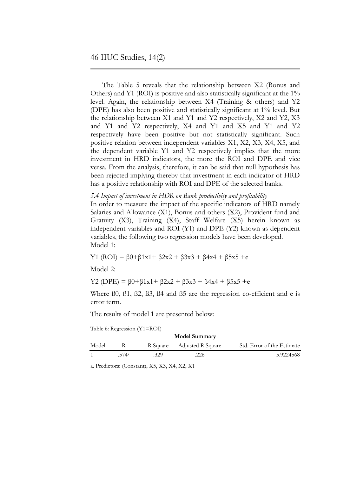The Table 5 reveals that the relationship between X2 (Bonus and Others) and Y1 (ROI) is positive and also statistically significant at the 1% level. Again, the relationship between X4 (Training & others) and Y2 (DPE) has also been positive and statistically significant at 1% level. But the relationship between X1 and Y1 and Y2 respectively, X2 and Y2, X3 and Y1 and Y2 respectively, X4 and Y1 and X5 and Y1 and Y2 respectively have been positive but not statistically significant. Such positive relation between independent variables X1, X2, X3, X4, X5, and the dependent variable Y1 and Y2 respectively implies that the more investment in HRD indicators, the more the ROI and DPE and vice versa. From the analysis, therefore, it can be said that null hypothesis has been rejected implying thereby that investment in each indicator of HRD has a positive relationship with ROI and DPE of the selected banks.

#### *5.4 Impact of investment in HDR on Bank productivity and profitability*

In order to measure the impact of the specific indicators of HRD namely Salaries and Allowance (X1), Bonus and others (X2), Provident fund and Gratuity (X3), Training (X4), Staff Welfare (X5) herein known as independent variables and ROI (Y1) and DPE (Y2) known as dependent variables, the following two regression models have been developed. Model 1:

Y1 (ROI) = β0+β1x1+ β2x2 + β3x3 + β4x4 + β5x5 +e

Model 2:

Y2 (DPE) =  $β0+β1x1+β2x2 + β3x3 + β4x4 + β5x5 + e$ 

Where ß0, ß1, ß2, ß3, ß4 and ß5 are the regression co-efficient and e is error term.

The results of model 1 are presented below:

Table 6: Regression (Y1=ROI)

| <b>Model Summary</b> |       |     |                            |                            |  |
|----------------------|-------|-----|----------------------------|----------------------------|--|
| Model                |       |     | R Square Adjusted R Square | Std. Error of the Estimate |  |
|                      | .574a | 329 | 226                        | 5.9224568                  |  |
|                      |       |     |                            |                            |  |

a. Predictors: (Constant), X5, X3, X4, X2, X1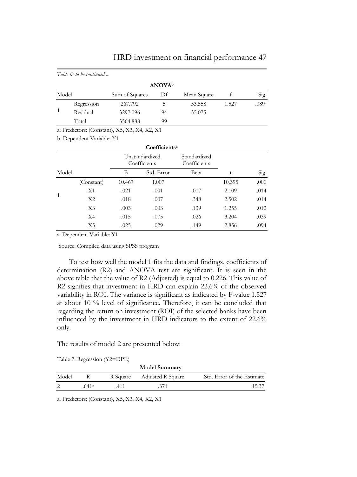|       | Table 6: to be continued |                |                           |             |       |       |
|-------|--------------------------|----------------|---------------------------|-------------|-------|-------|
|       |                          |                | <b>ANOVA</b> <sup>b</sup> |             |       |       |
| Model |                          | Sum of Squares | Df                        | Mean Square |       | Sig.  |
|       | Regression               | 267.792        |                           | 53.558      | 1.527 | .089a |
|       | Residual                 | 3297.096       | 94                        | 35.075      |       |       |
|       | Total                    | 3564.888       | 99                        |             |       |       |

# HRD investment on financial performance 47

a. Predictors: (Constant), X5, X3, X4, X2, X1

b. Dependent Variable: Y1

|              |                |        | Coefficients <sup>a</sup>      |                              |        |      |
|--------------|----------------|--------|--------------------------------|------------------------------|--------|------|
|              |                |        | Unstandardized<br>Coefficients | Standardized<br>Coefficients |        |      |
| Model        |                | B      | Std. Error                     | Beta                         | t      | Sig. |
|              | (Constant)     | 10.467 | 1.007                          |                              | 10.395 | .000 |
|              | X1             | .021   | .001                           | .017                         | 2.109  | .014 |
| $\mathbf{1}$ | X2             | .018   | .007                           | .348                         | 2.502  | .014 |
|              | X <sub>3</sub> | .003   | .003                           | .139                         | 1.255  | .012 |
|              | X4             | .015   | .075                           | .026                         | 3.204  | .039 |
|              | X5             | .025   | .029                           | .149                         | 2.856  | .094 |

a. Dependent Variable: Y1

Source: Compiled data using SPSS program

To test how well the model 1 fits the data and findings, coefficients of determination (R2) and ANOVA test are significant. It is seen in the above table that the value of R2 (Adjusted) is equal to 0.226. This value of R2 signifies that investment in HRD can explain 22.6% of the observed variability in ROI. The variance is significant as indicated by F-value 1.527 at about 10 % level of significance. Therefore, it can be concluded that regarding the return on investment (ROI) of the selected banks have been influenced by the investment in HRD indicators to the extent of 22.6% only.

The results of model 2 are presented below:

|  |  | Table 7: Regression (Y2=DPE) |
|--|--|------------------------------|
|--|--|------------------------------|

|       |                   |          | <b>Model Summary</b> |                            |
|-------|-------------------|----------|----------------------|----------------------------|
| Model |                   | R Square | Adjusted R Square    | Std. Error of the Estimate |
|       | .641 <sup>a</sup> | .411     | .371                 | 15.37                      |
|       |                   |          |                      |                            |

a. Predictors: (Constant), X5, X3, X4, X2, X1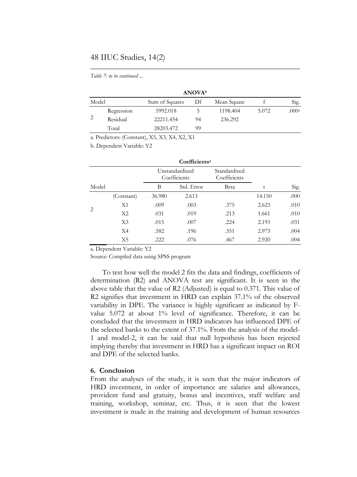## 48 IIUC Studies, 14(2)

*Table 7: to be continued ...*

|       |            |                                               | <b>ANOVA</b> <sup>b</sup> |             |       |       |
|-------|------------|-----------------------------------------------|---------------------------|-------------|-------|-------|
| Model |            | Sum of Squares                                | Df                        | Mean Square |       | Sig.  |
|       | Regression | 5992.018                                      | ל                         | 1198.404    | 5.072 | .000a |
| 2     | Residual   | 22211.454                                     | 94                        | 236.292     |       |       |
|       | Total      | 28203.472                                     | 99                        |             |       |       |
|       |            | a. Predictors: (Constant), X5, X3, X4, X2, X1 |                           |             |       |       |

b. Dependent Variable: Y2

|                               |                |        | Coefficients <sup>a</sup>      |      |        |      |
|-------------------------------|----------------|--------|--------------------------------|------|--------|------|
|                               |                |        | Unstandardized<br>Coefficients |      |        |      |
| Model                         |                | В      | Std. Error                     | Beta | t      | Sig. |
|                               | (Constant)     | 36.980 | 2.613                          |      | 14.150 | .000 |
|                               | X1             | .009   | .003                           | .375 | 2.623  | .010 |
| $\mathfrak{D}_{\mathfrak{p}}$ | X <sub>2</sub> | .031   | .019                           | .213 | 1.661  | .010 |
|                               | X <sub>3</sub> | .015   | .007                           | .224 | 2.193  | .031 |
|                               | X <sub>4</sub> | .582   | .196                           | .351 | 2.973  | .004 |
|                               | X5             | .222   | .076                           | .467 | 2.920  | .004 |

a. Dependent Variable: Y2

Source: Compiled data using SPSS program

To test how well the model 2 fits the data and findings, coefficients of determination (R2) and ANOVA test are significant. It is seen in the above table that the value of R2 (Adjusted) is equal to 0.371. This value of R2 signifies that investment in HRD can explain 37.1% of the observed variability in DPE. The variance is highly significant as indicated by Fvalue 5.072 at about 1% level of significance. Therefore, it can be concluded that the investment in HRD indicators has influenced DPE of the selected banks to the extent of 37.1%. From the analysis of the model-1 and model-2, it can be said that null hypothesis has been rejected implying thereby that investment in HRD has a significant impact on ROI and DPE of the selected banks.

## **6. Conclusion**

From the analyses of the study, it is seen that the major indicators of HRD investment, in order of importance are salaries and allowances, provident fund and gratuity, bonus and incentives, staff welfare and training, workshop, seminar, etc. Thus, it is seen that the lowest investment is made in the training and development of human resources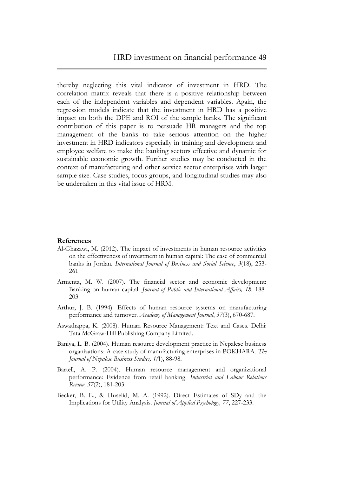thereby neglecting this vital indicator of investment in HRD. The correlation matrix reveals that there is a positive relationship between each of the independent variables and dependent variables. Again, the regression models indicate that the investment in HRD has a positive impact on both the DPE and ROI of the sample banks. The significant contribution of this paper is to persuade HR managers and the top management of the banks to take serious attention on the higher investment in HRD indicators especially in training and development and employee welfare to make the banking sectors effective and dynamic for sustainable economic growth. Further studies may be conducted in the context of manufacturing and other service sector enterprises with larger sample size. Case studies, focus groups, and longitudinal studies may also be undertaken in this vital issue of HRM.

#### **References**

- Al-Ghazawi, M. (2012). The impact of investments in human resource activities on the effectiveness of investment in human capital: The case of commercial banks in Jordan. *International Journal of Business and Social Science*, *3*(18), 253- 261.
- Armenta, M. W. (2007). The financial sector and economic development: Banking on human capital. *Journal of Public and International Affairs, 18,* 188- 203.
- Arthur, J. B. (1994). Effects of human resource systems on manufacturing performance and turnover. *Academy of Management Journal*, *37*(3), 670-687.
- Aswathappa, K. (2008). Human Resource Management: Text and Cases. Delhi: Tata McGraw-Hill Publishing Company Limited.
- Baniya, L. B. (2004). Human resource development practice in Nepalese business organizations: A case study of manufacturing enterprises in POKHARA. *The Journal of Nepalese Business Studies, 1(*1), 88-98.
- Bartell, A. P. (2004). Human resource management and organizational performance: Evidence from retail banking. *Industrial and Labour Relations Review, 57*(2), 181-203.
- Becker, B. E., & Huselid, M. A. (1992). Direct Estimates of SDy and the Implications for Utility Analysis. *Journal of Applied Psychology, 77*, 227-233.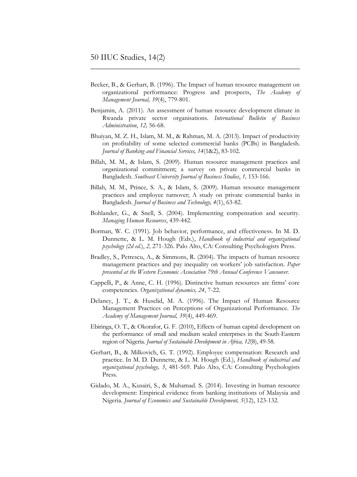- Becker, B., & Gerhart, B. (1996). The Impact of human resource management on organizational performance: Progress and prospects, *The Academy of Management Journal, 39*(4), 779-801.
- Benjamin, A. (2011). An assessment of human resource development climate in Rwanda private sector organisations. *International Bulletin of Business Administration*, *12,* 56-68.
- Bhuiyan, M. Z. H., Islam, M. M., & Rahman, M. A. (2013). Impact of productivity on profitability of some selected commercial banks (PCBs) in Bangladesh. *Journal of Banking and Financial Services, 14*(1&2), 83-102.
- Billah, M. M., & Islam, S. (2009). Human resource management practices and organizational commitment; a survey on private commercial banks in Bangladesh. *Southeast University Journal of Business Studies*, *1,* 153-166.
- Billah, M. M., Prince, S. A., & Islam, S. (2009). Human resource management practices and employee turnover; A study on private commercial banks in Bangladesh. *Journal of Business and Technology, 4*(1), 63-82.
- Bohlander, G., & Snell, S. (2004). Implementing compensation and security. *Managing Human Resources*, 439-442.
- Borman, W. C. (1991). Job behavior, performance, and effectiveness. In M. D. Dunnette, & L. M. Hough (Eds.), *Handbook of industrial and organizational psychology (2d ed*.), *2,* 271-326. Palo Alto, CA: Consulting Psychologists Press.
- Bradley, S., Petrescu, A., & Simmons, R. (2004). The impacts of human resource management practices and pay inequality on workers' job satisfaction. *Paper presented at the Western Economic Association 79th Annual Conference Vancouver.*
- Cappelli, P., & Anne, C. H. (1996). Distinctive human resources are firms' core competencies. *Organizational dynamics, 24*, 7-22.
- Delaney, J. T., & Huselid, M. A. (1996). The Impact of Human Resource Management Practices on Perceptions of Organizational Performance. *The Academy of Management Journal, 39*(4), 449-469.
- Ebiringa, O. T., & Okorafor, G. F. (2010), Effects of human capital development on the performance of small and medium scaled enterprises in the South-Eastern region of Nigeria. *Journal of Sustainable Development in Africa, 12*(8), 49-58.
- Gerhart, B., & Milkovich, G. T. (1992). Employee compensation: Research and practice. In M. D. Dunnette, & L. M. Hough (Ed.), *Handbook of industrial and organizational psychology, 3*, 481-569. Palo Alto, CA: Consulting Psychologists Press.
- Gidado, M. A., Kusairi, S., & Muhamad. S. (2014). Investing in human resource development: Empirical evidence from banking institutions of Malaysia and Nigeria. *Journal of Economics and Sustainable Development, 5*(12), 123-132.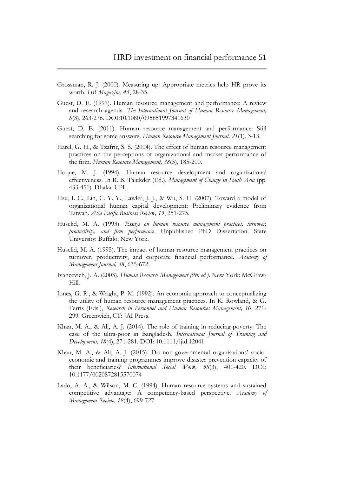- Grossman, R. J. (2000). Measuring up: Appropriate metrics help HR prove its worth. *HR Magazine, 45*, 28-35.
- Guest, D. E. (1997). Human resource management and performance: A review and research agenda. *The International Journal of Human Resource Management, 8*(3), 263-276. DOI:10.1080/095851997341630
- Guest, D. E. (2011). Human resource management and performance: Still searching for some answers. *Human Resource Management Journal, 21*(1), 3-13.
- Harel, G. H., & Tzafrir, S. S. (2004). The effect of human resource management practices on the perceptions of organizational and market performance of the firm. *Human Resource Management, 38*(3), 185-200.
- Hoque, M. J. (1994). Human resource development and organizational effectiveness. In R. B. Talukder (Ed.), *Management of Change in South Asia* (pp. 433-451). Dhaka: UPL.
- Hsu, I. C., Lin, C. Y. Y., Lawler, J. J., & Wu, S. H. (2007). Toward a model of organizational human capital development: Preliminary evidence from Taiwan. *Asia Pacific Business Review, 13*, 251-275.
- Huselid, M. A. (1993). *Essays on human resource management practices, turnover, productivity, and firm performance*. Unpublished PhD Dissertation: State University: Buffalo, New York.
- Huselid, M. A. (1995). The impact of human resource management practices on turnover, productivity, and corporate financial performance. *Academy of Management Journal, 38*, 635-672.
- Ivancevich, J. A. (2003). *Human Resource Management (9th ed.)*. New York: McGraw-Hill.
- Jones, G. R., & Wright, P. M. (1992). An economic approach to conceptualizing the utility of human resource management practices. In K. Rowland, & G. Ferris (Eds.), *Research in Personnel and Human Resources Management, 10*, 271- 299. Greenwich, CT: JAI Press.
- Khan, M. A., & Ali, A. J. (2014). The role of training in reducing poverty: The case of the ultra-poor in Bangladesh. *International Journal of Training and Development, 18*(4), 271-281. DOI: 10.1111/ijtd.12041
- Khan, M. A., & Ali, A. J. (2015). Do non-governmental organisations' socioeconomic and training programmes improve disaster prevention capacity of their beneficiaries? *International Social Work, 58*(3), 401-420. DOI: 10.1177/0020872815570074
- Lado, A. A., & Wilson, M. C. (1994). Human resource systems and sustained competitive advantage: A competency-based perspective. *Academy of Management Review, 19*(4), 699-727.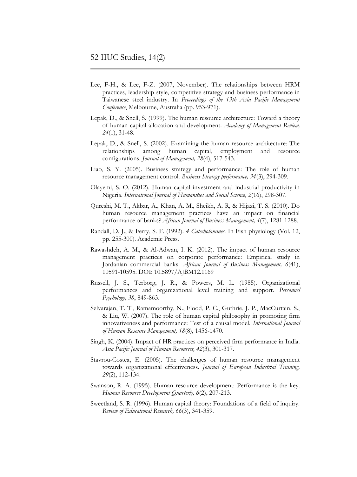- Lee, F-H., & Lee, F-Z. (2007, November). The relationships between HRM practices, leadership style, competitive strategy and business performance in Taiwanese steel industry. In *Proceedings of the 13th Asia Pacific Management Conference*, Melbourne, Australia (pp. 953-971).
- Lepak, D., & Snell, S. (1999). The human resource architecture: Toward a theory of human capital allocation and development. *Academy of Management Review, 24*(1), 31-48.
- Lepak, D., & Snell, S. (2002). Examining the human resource architecture: The relationships among human capital, employment and resource configurations. *Journal of Management, 28*(4), 517-543.
- Liao, S. Y. (2005). Business strategy and performance: The role of human resource management control. *Business Strategy performance, 34*(3), 294-309.
- Olayemi, S. O. (2012). Human capital investment and industrial productivity in Nigeria. *International Journal of Humanities and Social Science, 2*(16), 298-307.
- Qureshi, M. T., Akbar, A., Khan, A. M., Sheikh, A. R, & Hijazi, T. S. (2010). Do human resource management practices have an impact on financial performance of banks? *African Journal of Business Management, 4*(7), 1281-1288.
- Randall, D. J., & Ferry, S. F. (1992). *4 Catecholamines*. In Fish physiology (Vol. 12, pp. 255-300). Academic Press.
- Rawashdeh, A. M., & Al-Adwan, I. K. (2012). The impact of human resource management practices on corporate performance: Empirical study in Jordanian commercial banks. *African Journal of Business Management, 6*(41), 10591-10595. DOI: 10.5897/AJBM12.1169
- Russell, J. S., Terborg, J. R., & Powers, M. L. (1985). Organizational performances and organizational level training and support. *Personnel Psychology, 38*, 849-863.
- Selvarajan, T. T., Ramamoorthy, N., Flood, P. C., Guthrie, J. P., MacCurtain, S., & Liu, W. (2007). The role of human capital philosophy in promoting firm innovativeness and performance: Test of a causal model. *International Journal of Human Resource Management, 18*(8), 1456-1470.
- Singh, K. (2004). Impact of HR practices on perceived firm performance in India. *Asia Pacific Journal of Human Resources, 42*(3), 301-317.
- Stavrou-Costea, E. (2005). The challenges of human resource management towards organizational effectiveness. *Journal of European Industrial Training, 29*(2), 112-134.
- Swanson, R. A. (1995). Human resource development: Performance is the key. *Human Resource Development Quarterly, 6*(2), 207-213.
- Sweetland, S. R. (1996). Human capital theory: Foundations of a field of inquiry. *Review of Educational Research, 66*(3), 341-359.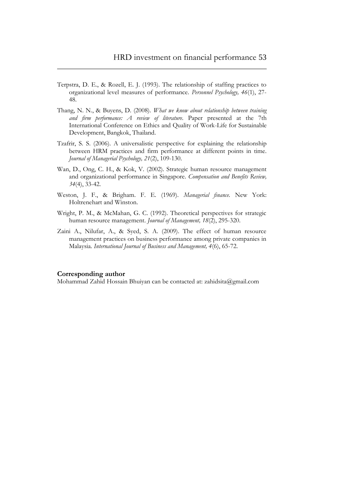- Terpstra, D. E., & Rozell, E. J. (1993). The relationship of staffing practices to organizational level measures of performance. *Personnel Psychology, 46*(1), 27- 48.
- Thang, N. N., & Buyens, D. (2008). *What we know about relationship between training and firm performance: A review of literature*. Paper presented at the 7th International Conference on Ethics and Quality of Work-Life for Sustainable Development, Bangkok, Thailand.
- Tzafrir, S. S. (2006). A universalistic perspective for explaining the relationship between HRM practices and firm performance at different points in time. *Journal of Managerial Psychology, 21*(2), 109-130.
- Wan, D., Ong, C. H., & Kok, V. (2002). Strategic human resource management and organizational performance in Singapore. *Compensation and Benefits Review, 34*(4), 33-42.
- Weston, J. F., & Brigham. F. E. (1969). *Managerial finance.* New York: Holtrenehart and Winston.
- Wright, P. M., & McMahan, G. C. (1992). Theoretical perspectives for strategic human resource management. *Journal of Management, 18*(2), 295-320.
- Zaini A., Nilufar, A., & Syed, S. A. (2009). The effect of human resource management practices on business performance among private companies in Malaysia. *International Journal of Business and Management, 4*(6), 65-72.

#### **Corresponding author**

Mohammad Zahid Hossain Bhuiyan can be contacted at: [zahidsita@gmail.com](mailto:zahidsita@yahoo.com)